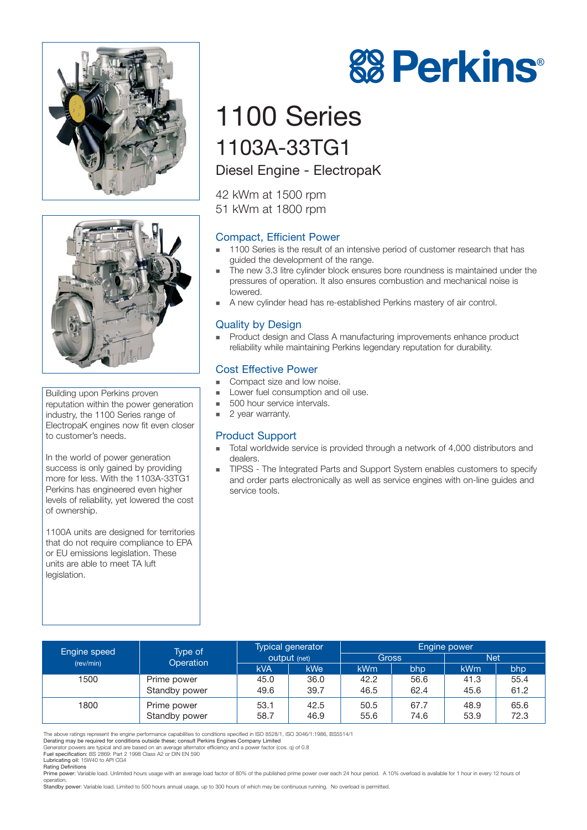



Building upon Perkins proven reputation within the power generation industry, the 1100 Series range of ElectropaK engines now fit even closer to customer's needs.

In the world of power generation success is only gained by providing more for less. With the 1103A-33TG1 Perkins has engineered even higher levels of reliability, yet lowered the cost of ownership.

1100A units are designed for territories that do not require compliance to EPA or EU emissions legislation. These units are able to meet TA luft legislation.

# 1100 Series 1103A-33TG1

## Diesel Engine - ElectropaK

42 kWm at 1500 rpm 51 kWm at 1800 rpm

## Compact, Efficient Power

- - 1100 Series is the result of an intensive period of customer research that has guided the development of the range.
- - The new 3.3 litre cylinder block ensures bore roundness is maintained under the pressures of operation. It also ensures combustion and mechanical noise is lowered.
- **A** new cylinder head has re-established Perkins mastery of air control.

### Quality by Design

- Product design and Class A manufacturing improvements enhance product reliability while maintaining Perkins legendary reputation for durability.

#### Cost Effective Power

- -Compact size and low noise.
- - Lower fuel consumption and oil use.
	- -500 hour service intervals.
- -2 year warranty.

#### Product Support

- - Total worldwide service is provided through a network of 4,000 distributors and dealers.
- - TIPSS - The Integrated Parts and Support System enables customers to specify and order parts electronically as well as service engines with on-line guides and service tools.

| Engine speed<br>(rev/min) | Type of<br>Operation | Typical generator<br>output (net) |            | Engine power    |      |            |      |
|---------------------------|----------------------|-----------------------------------|------------|-----------------|------|------------|------|
|                           |                      |                                   |            | Gross           |      | Net        |      |
|                           |                      | <b>kVA</b>                        | <b>kWe</b> | kW <sub>m</sub> | bhp  | <b>kWm</b> | bhp  |
| 1500                      | Prime power          | 45.0                              | 36.0       | 42.2            | 56.6 | 41.3       | 55.4 |
|                           | Standby power        | 49.6                              | 39.7       | 46.5            | 62.4 | 45.6       | 61.2 |
| 1800                      | Prime power          | 53.1                              | 42.5       | 50.5            | 67.7 | 48.9       | 65.6 |
|                           | Standby power        | 58.7                              | 46.9       | 55.6            | 74.6 | 53.9       | 72.3 |

The above ratings represent the engine performance capabilities to conditions specified in ISO 8528/1, ISO 3046/1:1986, BS5514/1

Fuel specification: BS 2869: Part 2 1998 Class A2 or DIN EN 590

Lubricating oil: 15W40 to API CG4 Rating Definitions

Prime power: Variable load. Unlimited hours usage with an average load factor of 80% of the published prime power over each 24 hour period. A 10% overload is available for 1 hour in every 12 hours of operation.<br>**Standby powe**r: Variable load. Limited to 500 hours annual usage, up to 300 hours of which may be continuous running. No overload is permitted.



Derating may be required for conditions outside these; consult Perkins Engines Company Limited Generator powers are typical and are based on an average alternator efficiency and a power factor (cos. q) of 0.8